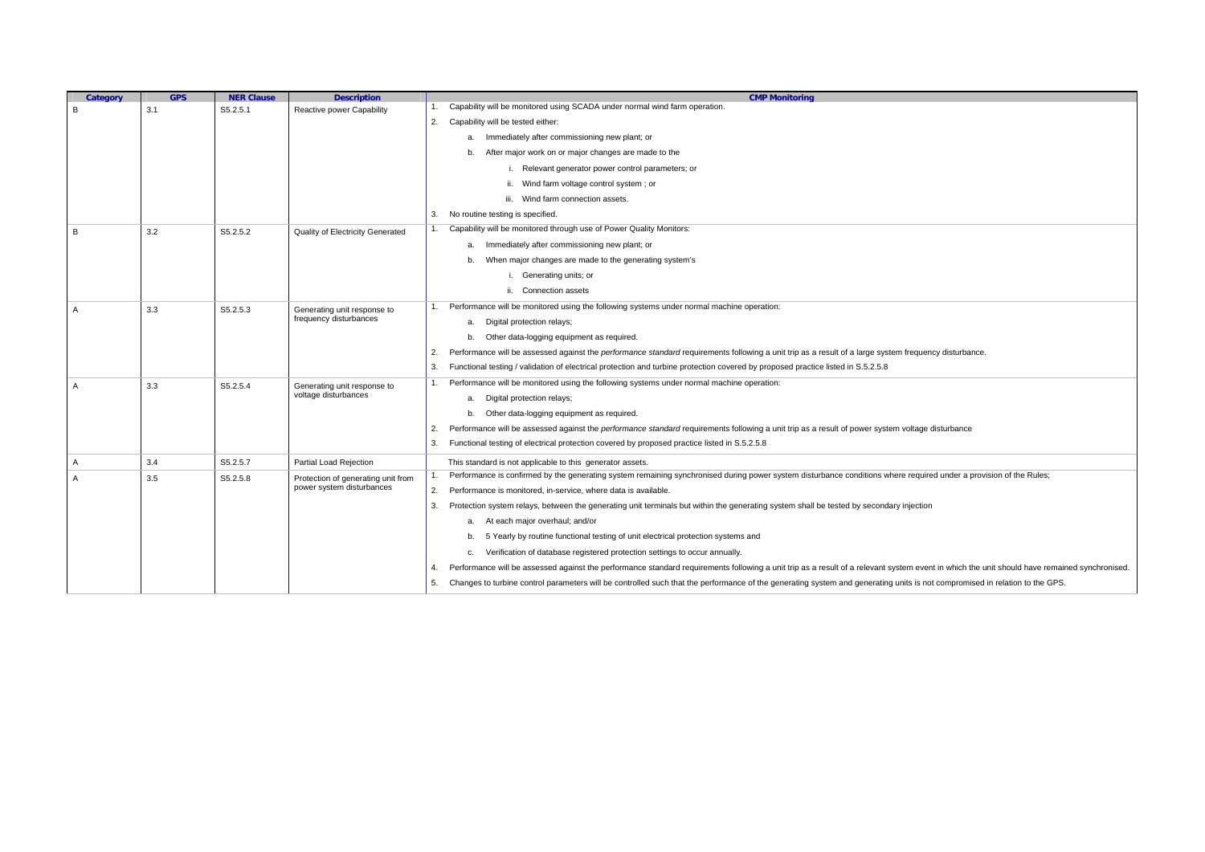| Category             | <b>GPS</b>      | <b>NER Clause</b>                | <b>Description</b>                                                        | <b>CMP Monitoring</b>                                                                                                                                                                              |
|----------------------|-----------------|----------------------------------|---------------------------------------------------------------------------|----------------------------------------------------------------------------------------------------------------------------------------------------------------------------------------------------|
| B                    | 3.1             | S5.2.5.1                         | Reactive power Capability                                                 | Capability will be monitored using SCADA under normal wind farm operation.                                                                                                                         |
|                      |                 |                                  |                                                                           | 2. Capability will be tested either:                                                                                                                                                               |
|                      |                 |                                  |                                                                           | a. Immediately after commissioning new plant; or                                                                                                                                                   |
|                      |                 |                                  |                                                                           | After major work on or major changes are made to the<br>b.                                                                                                                                         |
|                      |                 |                                  |                                                                           | i. Relevant generator power control parameters; or                                                                                                                                                 |
|                      |                 |                                  |                                                                           | ii. Wind farm voltage control system; or                                                                                                                                                           |
|                      |                 |                                  |                                                                           | iii. Wind farm connection assets.                                                                                                                                                                  |
|                      |                 |                                  |                                                                           | No routine testing is specified.<br>3.                                                                                                                                                             |
| 3.2<br>S5.2.5.2<br>B |                 | Quality of Electricity Generated | Capability will be monitored through use of Power Quality Monitors:<br>1. |                                                                                                                                                                                                    |
|                      |                 |                                  |                                                                           | a. Immediately after commissioning new plant; or                                                                                                                                                   |
|                      |                 |                                  |                                                                           | When major changes are made to the generating system's<br>b.                                                                                                                                       |
|                      |                 |                                  |                                                                           | i. Generating units; or                                                                                                                                                                            |
|                      |                 |                                  |                                                                           | ii. Connection assets                                                                                                                                                                              |
| 3.3<br>A             |                 | S5.2.5.3                         | Generating unit response to<br>frequency disturbances                     | Performance will be monitored using the following systems under normal machine operation:<br>1.                                                                                                    |
|                      |                 |                                  |                                                                           | Digital protection relays;<br>а.                                                                                                                                                                   |
|                      |                 |                                  |                                                                           | b. Other data-logging equipment as required.                                                                                                                                                       |
|                      |                 |                                  |                                                                           | Performance will be assessed against the <i>performance standard</i> requirements following a unit trip as a result of a large system frequency disturbance.<br>2.                                 |
|                      |                 |                                  |                                                                           | Functional testing / validation of electrical protection and turbine protection covered by proposed practice listed in S.5.2.5.8<br>3.                                                             |
| $\overline{A}$       | 3.3             | S5.2.5.4                         | Generating unit response to<br>voltage disturbances                       | Performance will be monitored using the following systems under normal machine operation:<br>1.                                                                                                    |
|                      |                 |                                  |                                                                           | a. Digital protection relays;                                                                                                                                                                      |
|                      |                 |                                  |                                                                           | b. Other data-logging equipment as required.                                                                                                                                                       |
|                      |                 |                                  |                                                                           | Performance will be assessed against the <i>performance standard</i> requirements following a unit trip as a result of power system voltage disturbance<br>2.                                      |
|                      |                 |                                  |                                                                           | Functional testing of electrical protection covered by proposed practice listed in S.5.2.5.8<br>3.                                                                                                 |
| A                    | 3.4             | S5.2.5.7                         | Partial Load Rejection                                                    | This standard is not applicable to this generator assets.                                                                                                                                          |
| $\overline{A}$       | 3.5<br>S5.2.5.8 |                                  | Protection of generating unit from                                        | Performance is confirmed by the generating system remaining synchronised during power system disturbance conditions where required under a provision of the Rules;                                 |
|                      |                 |                                  | power system disturbances                                                 | 2. Performance is monitored, in-service, where data is available.                                                                                                                                  |
|                      |                 |                                  |                                                                           | Protection system relays, between the generating unit terminals but within the generating system shall be tested by secondary injection<br>3.                                                      |
|                      |                 |                                  |                                                                           | At each major overhaul; and/or<br>а.                                                                                                                                                               |
|                      |                 |                                  |                                                                           | 5 Yearly by routine functional testing of unit electrical protection systems and<br>b.                                                                                                             |
|                      |                 |                                  |                                                                           | c. Verification of database registered protection settings to occur annually.                                                                                                                      |
|                      |                 |                                  |                                                                           | Performance will be assessed against the performance standard requirements following a unit trip as a result of a relevant system event in which the unit should have remained synchronised.<br>4. |
|                      |                 |                                  |                                                                           | 5. Changes to turbine control parameters will be controlled such that the performance of the generating system and generating units is not compromised in relation to the GPS.                     |
|                      |                 |                                  |                                                                           |                                                                                                                                                                                                    |

| equency disturbance.                                       |  |  |  |  |  |  |
|------------------------------------------------------------|--|--|--|--|--|--|
|                                                            |  |  |  |  |  |  |
| Itage disturbance                                          |  |  |  |  |  |  |
|                                                            |  |  |  |  |  |  |
| equired under a provision of the Rules;                    |  |  |  |  |  |  |
| ection                                                     |  |  |  |  |  |  |
|                                                            |  |  |  |  |  |  |
| event in which the unit should have remained synchronised. |  |  |  |  |  |  |
| is not compromised in relation to the GPS.                 |  |  |  |  |  |  |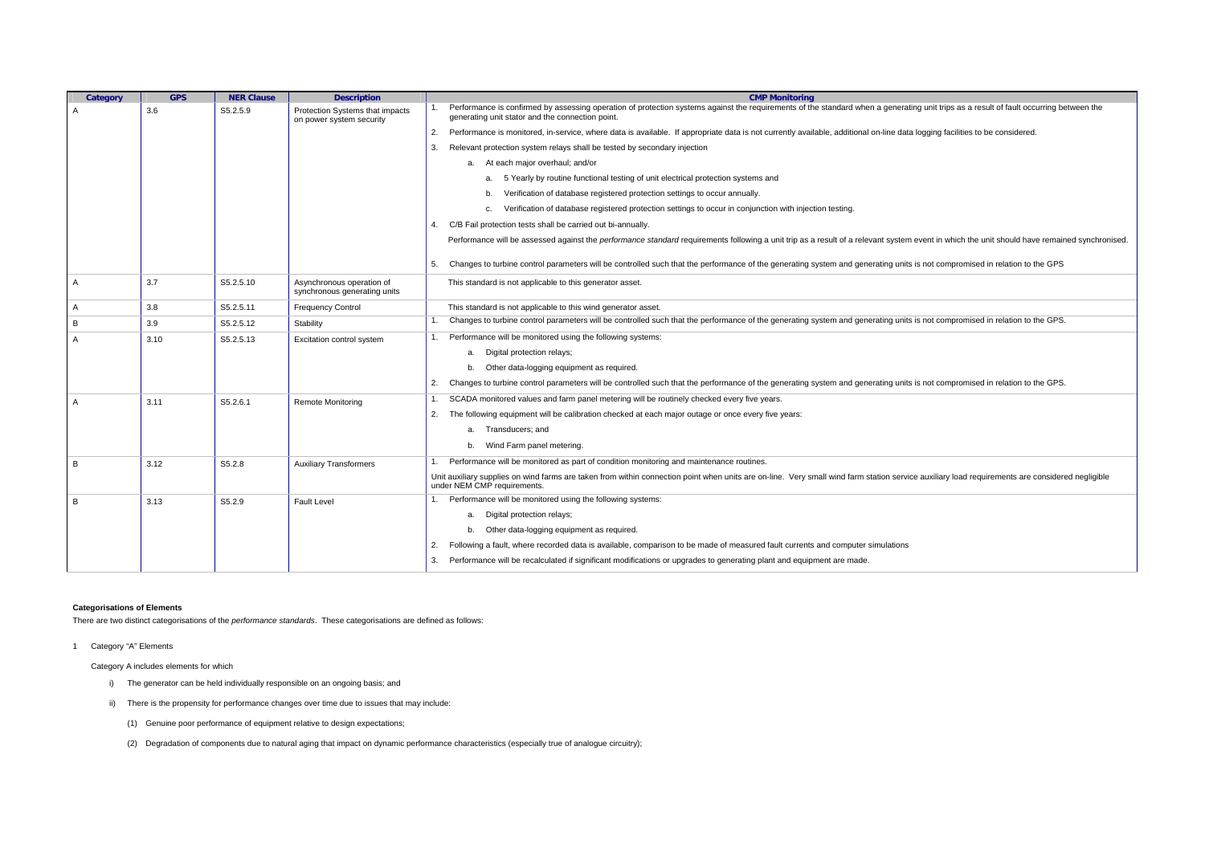| Category       | <b>GPS</b> | <b>NER Clause</b> | <b>Description</b>                                          |    | <b>CMP Monitoring</b>                                                                                                                                                             |
|----------------|------------|-------------------|-------------------------------------------------------------|----|-----------------------------------------------------------------------------------------------------------------------------------------------------------------------------------|
| A              | 3.6        | S5.2.5.9          | Protection Systems that impacts<br>on power system security |    | Performance is confirmed by assessing operation of protection systems against the requirements of the standard when a generat<br>generating unit stator and the connection point. |
|                |            |                   |                                                             | 2. | Performance is monitored, in-service, where data is available. If appropriate data is not currently available, additional on-line data                                            |
|                |            |                   |                                                             | 3. | Relevant protection system relays shall be tested by secondary injection                                                                                                          |
|                |            |                   |                                                             |    | a. At each major overhaul; and/or                                                                                                                                                 |
|                |            |                   |                                                             |    | 5 Yearly by routine functional testing of unit electrical protection systems and<br>a.                                                                                            |
|                |            |                   |                                                             |    | Verification of database registered protection settings to occur annually.<br>b.                                                                                                  |
|                |            |                   |                                                             |    | Verification of database registered protection settings to occur in conjunction with injection testing.<br>c.                                                                     |
|                |            |                   |                                                             | 4. | C/B Fail protection tests shall be carried out bi-annually.                                                                                                                       |
|                |            |                   |                                                             |    | Performance will be assessed against the performance standard requirements following a unit trip as a result of a relevant system                                                 |
|                |            |                   |                                                             | 5. | Changes to turbine control parameters will be controlled such that the performance of the generating system and generating units                                                  |
| A              | 3.7        | S5.2.5.10         | Asynchronous operation of<br>synchronous generating units   |    | This standard is not applicable to this generator asset.                                                                                                                          |
| $\mathsf{A}$   | 3.8        | S5.2.5.11         | <b>Frequency Control</b>                                    |    | This standard is not applicable to this wind generator asset.                                                                                                                     |
| B              | 3.9        | S5.2.5.12         | Stability                                                   |    | Changes to turbine control parameters will be controlled such that the performance of the generating system and generating units                                                  |
| A              | 3.10       | S5.2.5.13         | Excitation control system                                   |    | Performance will be monitored using the following systems:                                                                                                                        |
|                |            |                   |                                                             |    | Digital protection relays;<br>a.                                                                                                                                                  |
|                |            |                   |                                                             |    | Other data-logging equipment as required.<br>b.                                                                                                                                   |
|                |            |                   |                                                             | 2. | Changes to turbine control parameters will be controlled such that the performance of the generating system and generating units                                                  |
| $\overline{A}$ | 3.11       | S5.2.6.1          | <b>Remote Monitoring</b>                                    | 1. | SCADA monitored values and farm panel metering will be routinely checked every five years.                                                                                        |
|                |            |                   |                                                             | 2. | The following equipment will be calibration checked at each major outage or once every five years:                                                                                |
|                |            |                   |                                                             |    | Transducers; and<br>a.                                                                                                                                                            |
|                |            |                   |                                                             |    | Wind Farm panel metering.                                                                                                                                                         |
| B              | 3.12       | S5.2.8            | <b>Auxiliary Transformers</b>                               |    | Performance will be monitored as part of condition monitoring and maintenance routines.                                                                                           |
|                |            |                   |                                                             |    | Unit auxiliary supplies on wind farms are taken from within connection point when units are on-line. Very small wind farm station servi<br>under NEM CMP requirements.            |
| B              | 3.13       | S5.2.9            | <b>Fault Level</b>                                          |    | Performance will be monitored using the following systems:                                                                                                                        |
|                |            |                   |                                                             |    | Digital protection relays;<br>а.                                                                                                                                                  |
|                |            |                   |                                                             |    | Other data-logging equipment as required.<br>b.                                                                                                                                   |
|                |            |                   |                                                             | 2. | Following a fault, where recorded data is available, comparison to be made of measured fault currents and computer simulations                                                    |
|                |            |                   |                                                             | 3. | Performance will be recalculated if significant modifications or upgrades to generating plant and equipment are made.                                                             |
|                |            |                   |                                                             |    |                                                                                                                                                                                   |

## **Categorisations of Elements**

There are two distinct categorisations of the *performance standards*. These categorisations are defined as follows:

1 Category "A" Elements

Category A includes elements for which

- i) The generator can be held individually responsible on an ongoing basis; and
- ii) There is the propensity for performance changes over time due to issues that may include:
	- (1) Genuine poor performance of equipment relative to design expectations;
	- (2) Degradation of components due to natural aging that impact on dynamic performance characteristics (especially true of analogue circuitry);

ating unit trips as a result of fault occurring between the

ta logging facilities to be considered.

m event in which the unit should have remained synchronised.

its is not compromised in relation to the GPS

its is not compromised in relation to the GPS.

its is not compromised in relation to the GPS.

vice auxiliary load requirements are considered negligible